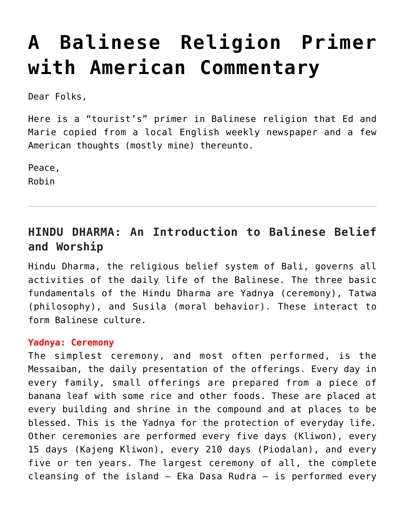# **[A Balinese Religion Primer](https://crossings.org/a-balinese-religion-primer-with-american-commentary/) [with American Commentary](https://crossings.org/a-balinese-religion-primer-with-american-commentary/)**

Dear Folks,

Here is a "tourist's" primer in Balinese religion that Ed and Marie copied from a local English weekly newspaper and a few American thoughts (mostly mine) thereunto.

Peace, Robin

# **HINDU DHARMA: An Introduction to Balinese Belief and Worship**

Hindu Dharma, the religious belief system of Bali, governs all activities of the daily life of the Balinese. The three basic fundamentals of the Hindu Dharma are Yadnya (ceremony), Tatwa (philosophy), and Susila (moral behavior). These interact to form Balinese culture.

#### **Yadnya: Ceremony**

The simplest ceremony, and most often performed, is the Messaiban, the daily presentation of the offerings. Every day in every family, small offerings are prepared from a piece of banana leaf with some rice and other foods. These are placed at every building and shrine in the compound and at places to be blessed. This is the Yadnya for the protection of everyday life. Other ceremonies are performed every five days (Kliwon), every 15 days (Kajeng Kliwon), every 210 days (Piodalan), and every five or ten years. The largest ceremony of all, the complete cleansing of the island  $-$  Eka Dasa Rudra  $-$  is performed every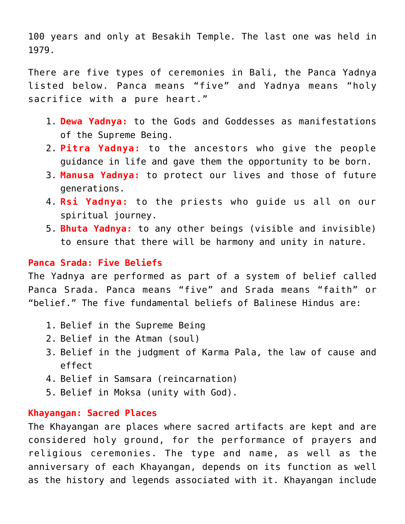100 years and only at Besakih Temple. The last one was held in 1979.

There are five types of ceremonies in Bali, the Panca Yadnya listed below. Panca means "five" and Yadnya means "holy sacrifice with a pure heart."

- 1. **Dewa Yadnya:** to the Gods and Goddesses as manifestations of the Supreme Being.
- 2. **Pitra Yadnya:** to the ancestors who give the people guidance in life and gave them the opportunity to be born.
- 3. **Manusa Yadnya:** to protect our lives and those of future generations.
- 4. **Rsi Yadnya:** to the priests who guide us all on our spiritual journey.
- 5. **Bhuta Yadnya:** to any other beings (visible and invisible) to ensure that there will be harmony and unity in nature.

### **Panca Srada: Five Beliefs**

The Yadnya are performed as part of a system of belief called Panca Srada. Panca means "five" and Srada means "faith" or "belief." The five fundamental beliefs of Balinese Hindus are:

- 1. Belief in the Supreme Being
- 2. Belief in the Atman (soul)
- 3. Belief in the judgment of Karma Pala, the law of cause and effect
- 4. Belief in Samsara (reincarnation)
- 5. Belief in Moksa (unity with God).

#### **Khayangan: Sacred Places**

The Khayangan are places where sacred artifacts are kept and are considered holy ground, for the performance of prayers and religious ceremonies. The type and name, as well as the anniversary of each Khayangan, depends on its function as well as the history and legends associated with it. Khayangan include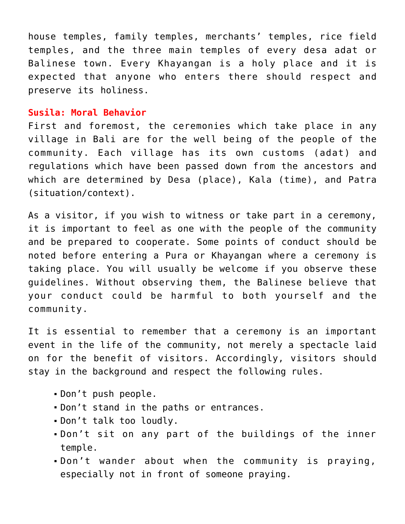house temples, family temples, merchants' temples, rice field temples, and the three main temples of every desa adat or Balinese town. Every Khayangan is a holy place and it is expected that anyone who enters there should respect and preserve its holiness.

#### **Susila: Moral Behavior**

First and foremost, the ceremonies which take place in any village in Bali are for the well being of the people of the community. Each village has its own customs (adat) and regulations which have been passed down from the ancestors and which are determined by Desa (place), Kala (time), and Patra (situation/context).

As a visitor, if you wish to witness or take part in a ceremony, it is important to feel as one with the people of the community and be prepared to cooperate. Some points of conduct should be noted before entering a Pura or Khayangan where a ceremony is taking place. You will usually be welcome if you observe these guidelines. Without observing them, the Balinese believe that your conduct could be harmful to both yourself and the community.

It is essential to remember that a ceremony is an important event in the life of the community, not merely a spectacle laid on for the benefit of visitors. Accordingly, visitors should stay in the background and respect the following rules.

- Don't push people.
- Don't stand in the paths or entrances.
- Don't talk too loudly.
- Don't sit on any part of the buildings of the inner temple.
- Don't wander about when the community is praying, especially not in front of someone praying.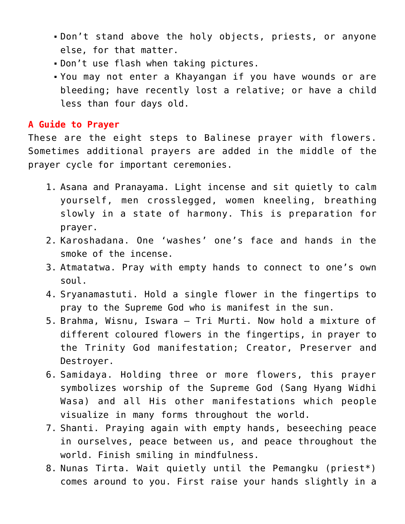- Don't stand above the holy objects, priests, or anyone else, for that matter.
- Don't use flash when taking pictures.
- You may not enter a Khayangan if you have wounds or are bleeding; have recently lost a relative; or have a child less than four days old.

## **A Guide to Prayer**

These are the eight steps to Balinese prayer with flowers. Sometimes additional prayers are added in the middle of the prayer cycle for important ceremonies.

- 1. Asana and Pranayama. Light incense and sit quietly to calm yourself, men crosslegged, women kneeling, breathing slowly in a state of harmony. This is preparation for prayer.
- 2. Karoshadana. One 'washes' one's face and hands in the smoke of the incense.
- 3. Atmatatwa. Pray with empty hands to connect to one's own soul.
- 4. Sryanamastuti. Hold a single flower in the fingertips to pray to the Supreme God who is manifest in the sun.
- 5. Brahma, Wisnu, Iswara Tri Murti. Now hold a mixture of different coloured flowers in the fingertips, in prayer to the Trinity God manifestation; Creator, Preserver and Destroyer.
- 6. Samidaya. Holding three or more flowers, this prayer symbolizes worship of the Supreme God (Sang Hyang Widhi Wasa) and all His other manifestations which people visualize in many forms throughout the world.
- 7. Shanti. Praying again with empty hands, beseeching peace in ourselves, peace between us, and peace throughout the world. Finish smiling in mindfulness.
- 8. Nunas Tirta. Wait quietly until the Pemangku (priest\*) comes around to you. First raise your hands slightly in a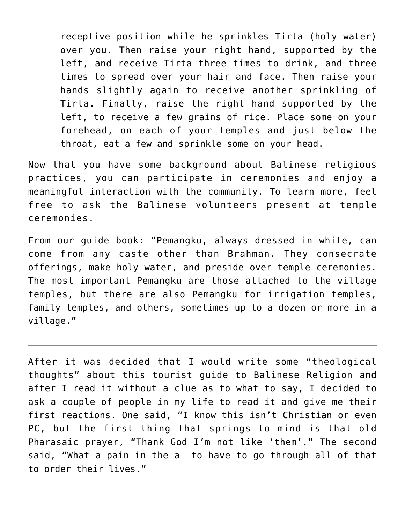receptive position while he sprinkles Tirta (holy water) over you. Then raise your right hand, supported by the left, and receive Tirta three times to drink, and three times to spread over your hair and face. Then raise your hands slightly again to receive another sprinkling of Tirta. Finally, raise the right hand supported by the left, to receive a few grains of rice. Place some on your forehead, on each of your temples and just below the throat, eat a few and sprinkle some on your head.

Now that you have some background about Balinese religious practices, you can participate in ceremonies and enjoy a meaningful interaction with the community. To learn more, feel free to ask the Balinese volunteers present at temple ceremonies.

From our guide book: "Pemangku, always dressed in white, can come from any caste other than Brahman. They consecrate offerings, make holy water, and preside over temple ceremonies. The most important Pemangku are those attached to the village temples, but there are also Pemangku for irrigation temples, family temples, and others, sometimes up to a dozen or more in a village."

After it was decided that I would write some "theological thoughts" about this tourist guide to Balinese Religion and after I read it without a clue as to what to say, I decided to ask a couple of people in my life to read it and give me their first reactions. One said, "I know this isn't Christian or even PC, but the first thing that springs to mind is that old Pharasaic prayer, "Thank God I'm not like 'them'." The second said, "What a pain in the a– to have to go through all of that to order their lives."